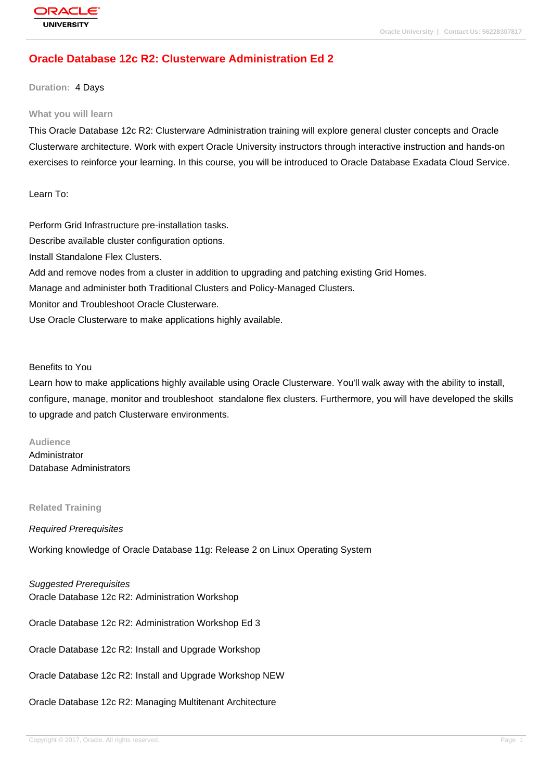# **[Oracle Databas](http://education.oracle.com/pls/web_prod-plq-dad/db_pages.getpage?page_id=3)e 12c R2: Clusterware Administration Ed 2**

### **Duration:** 4 Days

#### **What you will learn**

This Oracle Database 12c R2: Clusterware Administration training will explore general cluster concepts and Oracle Clusterware architecture. Work with expert Oracle University instructors through interactive instruction and hands-on exercises to reinforce your learning. In this course, you will be introduced to Oracle Database Exadata Cloud Service.

Learn To:

Perform Grid Infrastructure pre-installation tasks. Describe available cluster configuration options. Install Standalone Flex Clusters. Add and remove nodes from a cluster in addition to upgrading and patching existing Grid Homes. Manage and administer both Traditional Clusters and Policy-Managed Clusters. Monitor and Troubleshoot Oracle Clusterware. Use Oracle Clusterware to make applications highly available.

Benefits to You

Learn how to make applications highly available using Oracle Clusterware. You'll walk away with the ability to install, configure, manage, monitor and troubleshoot standalone flex clusters. Furthermore, you will have developed the skills to upgrade and patch Clusterware environments.

#### **Audience**

Administrator Database Administrators

#### **Related Training**

#### Required Prerequisites

Working knowledge of Oracle Database 11g: Release 2 on Linux Operating System

Suggested Prerequisites

Oracle Database 12c R2: Administration Workshop

Oracle Database 12c R2: Administration Workshop Ed 3

Oracle Database 12c R2: Install and Upgrade Workshop

Oracle Database 12c R2: Install and Upgrade Workshop NEW

Oracle Database 12c R2: Managing Multitenant Architecture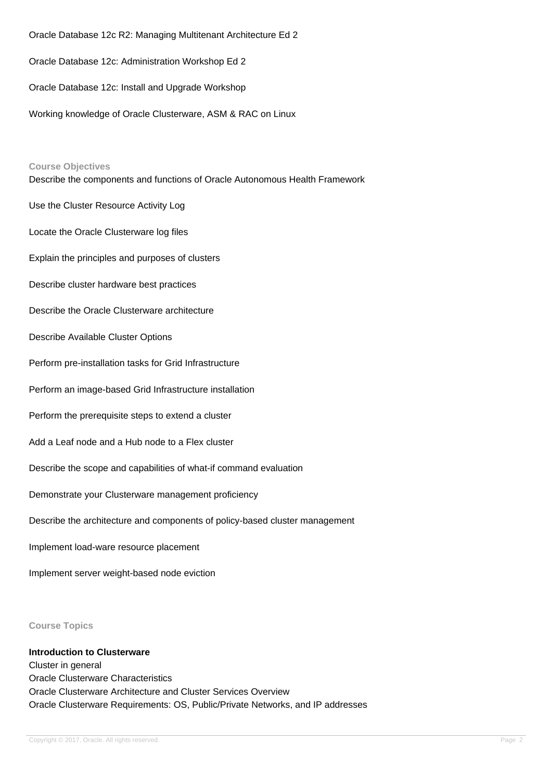Oracle Database 12c R2: Managing Multitenant Architecture Ed 2 Oracle Database 12c: Administration Workshop Ed 2 Oracle Database 12c: Install and Upgrade Workshop Working knowledge of Oracle Clusterware, ASM & RAC on Linux

#### **Course Objectives**

Describe the components and functions of Oracle Autonomous Health Framework Use the Cluster Resource Activity Log

Locate the Oracle Clusterware log files

Explain the principles and purposes of clusters

Describe cluster hardware best practices

Describe the Oracle Clusterware architecture

Describe Available Cluster Options

Perform pre-installation tasks for Grid Infrastructure

Perform an image-based Grid Infrastructure installation

Perform the prerequisite steps to extend a cluster

Add a Leaf node and a Hub node to a Flex cluster

Describe the scope and capabilities of what-if command evaluation

Demonstrate your Clusterware management proficiency

Describe the architecture and components of policy-based cluster management

Implement load-ware resource placement

Implement server weight-based node eviction

**Course Topics**

**Introduction to Clusterware** Cluster in general Oracle Clusterware Characteristics Oracle Clusterware Architecture and Cluster Services Overview Oracle Clusterware Requirements: OS, Public/Private Networks, and IP addresses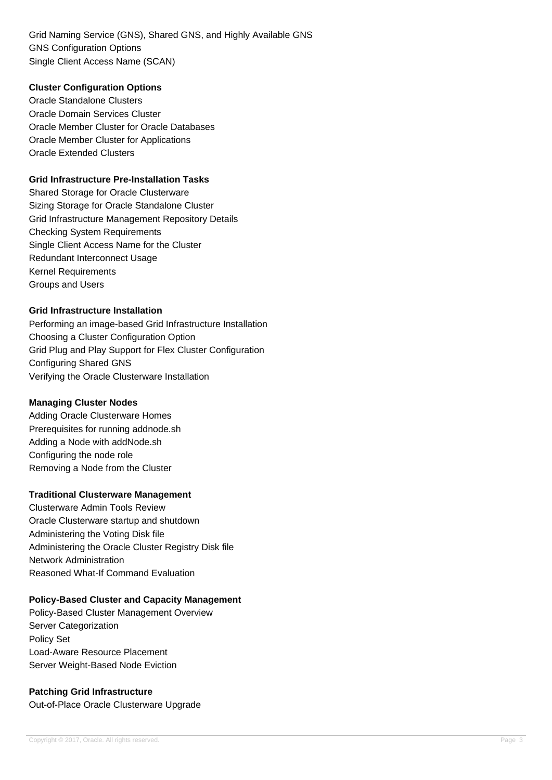Grid Naming Service (GNS), Shared GNS, and Highly Available GNS GNS Configuration Options Single Client Access Name (SCAN)

### **Cluster Configuration Options**

Oracle Standalone Clusters Oracle Domain Services Cluster Oracle Member Cluster for Oracle Databases Oracle Member Cluster for Applications Oracle Extended Clusters

### **Grid Infrastructure Pre-Installation Tasks**

Shared Storage for Oracle Clusterware Sizing Storage for Oracle Standalone Cluster Grid Infrastructure Management Repository Details Checking System Requirements Single Client Access Name for the Cluster Redundant Interconnect Usage Kernel Requirements Groups and Users

## **Grid Infrastructure Installation**

Performing an image-based Grid Infrastructure Installation Choosing a Cluster Configuration Option Grid Plug and Play Support for Flex Cluster Configuration Configuring Shared GNS Verifying the Oracle Clusterware Installation

## **Managing Cluster Nodes**

Adding Oracle Clusterware Homes Prerequisites for running addnode.sh Adding a Node with addNode.sh Configuring the node role Removing a Node from the Cluster

## **Traditional Clusterware Management**

Clusterware Admin Tools Review Oracle Clusterware startup and shutdown Administering the Voting Disk file Administering the Oracle Cluster Registry Disk file Network Administration Reasoned What-If Command Evaluation

## **Policy-Based Cluster and Capacity Management**

Policy-Based Cluster Management Overview Server Categorization Policy Set Load-Aware Resource Placement Server Weight-Based Node Eviction

## **Patching Grid Infrastructure**

Out-of-Place Oracle Clusterware Upgrade